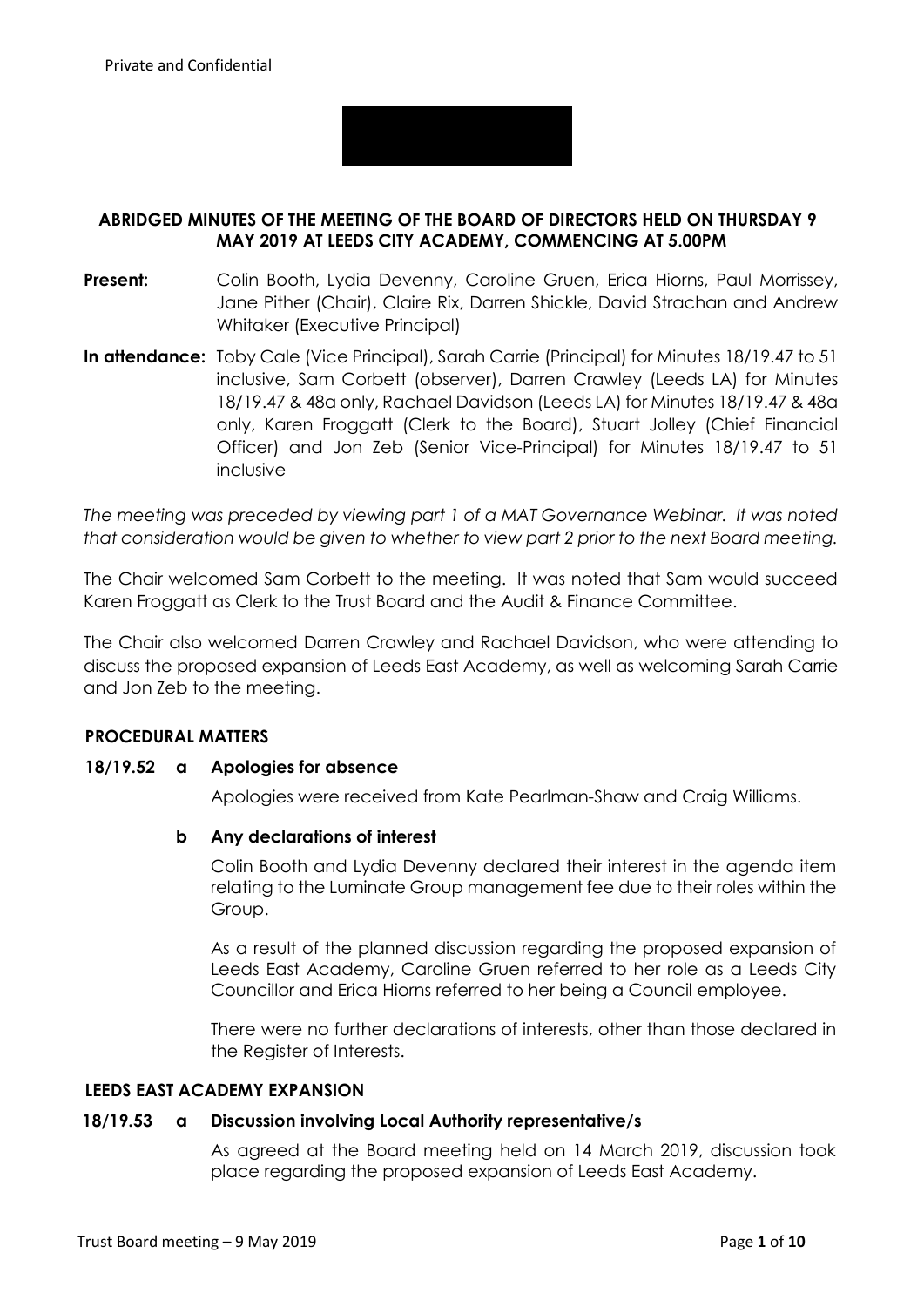

# **ABRIDGED MINUTES OF THE MEETING OF THE BOARD OF DIRECTORS HELD ON THURSDAY 9 MAY 2019 AT LEEDS CITY ACADEMY, COMMENCING AT 5.00PM**

- **Present:** Colin Booth, Lydia Devenny, Caroline Gruen, Erica Hiorns, Paul Morrissey, Jane Pither (Chair), Claire Rix, Darren Shickle, David Strachan and Andrew Whitaker (Executive Principal)
- **In attendance:** Toby Cale (Vice Principal), Sarah Carrie (Principal) for Minutes 18/19.47 to 51 inclusive, Sam Corbett (observer), Darren Crawley (Leeds LA) for Minutes 18/19.47 & 48a only, Rachael Davidson (Leeds LA) for Minutes 18/19.47 & 48a only, Karen Froggatt (Clerk to the Board), Stuart Jolley (Chief Financial Officer) and Jon Zeb (Senior Vice-Principal) for Minutes 18/19.47 to 51 inclusive

*The meeting was preceded by viewing part 1 of a MAT Governance Webinar. It was noted that consideration would be given to whether to view part 2 prior to the next Board meeting.*

The Chair welcomed Sam Corbett to the meeting. It was noted that Sam would succeed Karen Froggatt as Clerk to the Trust Board and the Audit & Finance Committee.

The Chair also welcomed Darren Crawley and Rachael Davidson, who were attending to discuss the proposed expansion of Leeds East Academy, as well as welcoming Sarah Carrie and Jon Zeb to the meeting.

## **PROCEDURAL MATTERS**

## **18/19.52 a Apologies for absence**

Apologies were received from Kate Pearlman-Shaw and Craig Williams.

## **b Any declarations of interest**

Colin Booth and Lydia Devenny declared their interest in the agenda item relating to the Luminate Group management fee due to their roles within the Group.

As a result of the planned discussion regarding the proposed expansion of Leeds East Academy, Caroline Gruen referred to her role as a Leeds City Councillor and Erica Hiorns referred to her being a Council employee.

There were no further declarations of interests, other than those declared in the Register of Interests.

#### **LEEDS EAST ACADEMY EXPANSION**

# **18/19.53 a Discussion involving Local Authority representative/s**

As agreed at the Board meeting held on 14 March 2019, discussion took place regarding the proposed expansion of Leeds East Academy.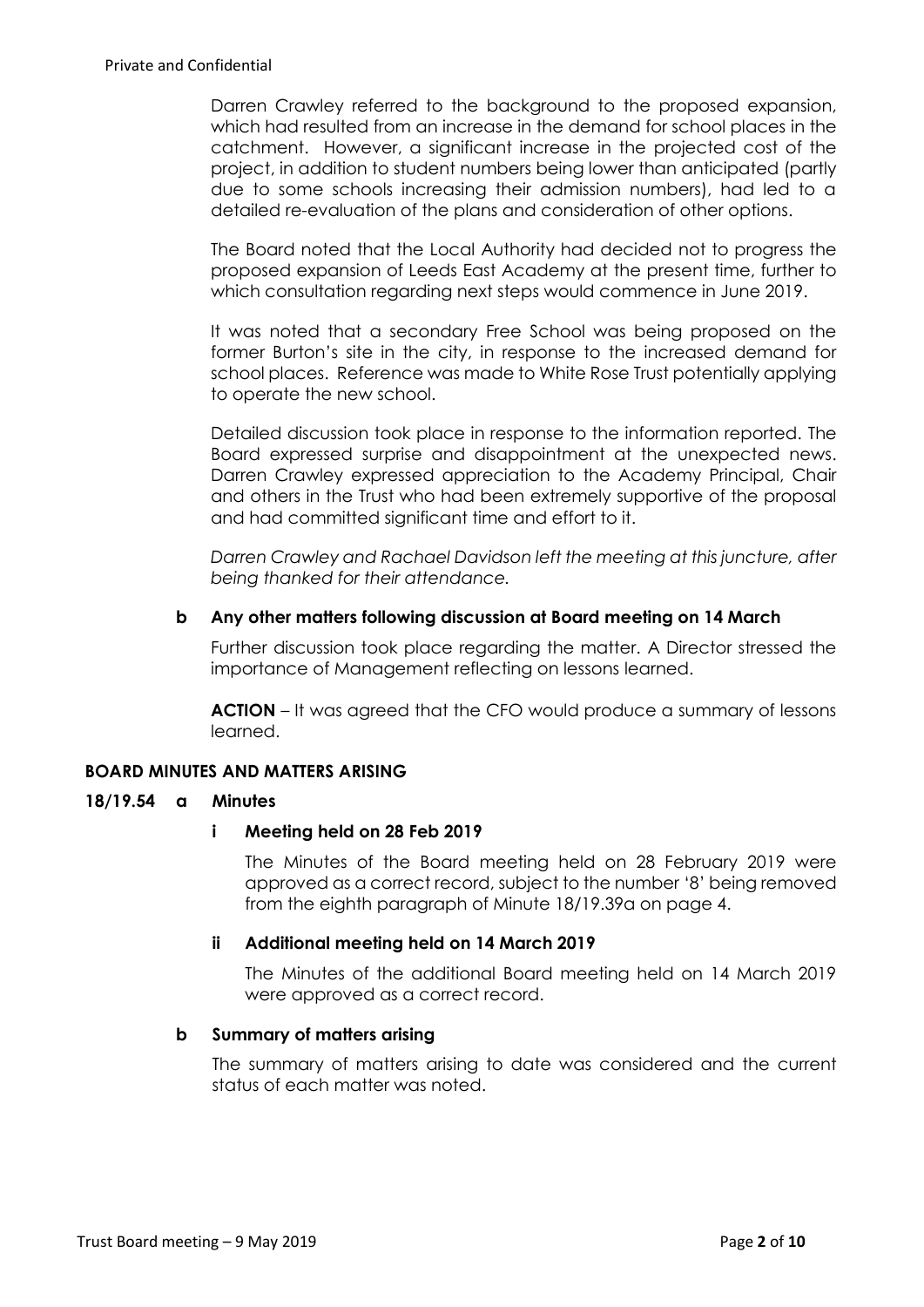Darren Crawley referred to the background to the proposed expansion, which had resulted from an increase in the demand for school places in the catchment. However, a significant increase in the projected cost of the project, in addition to student numbers being lower than anticipated (partly due to some schools increasing their admission numbers), had led to a detailed re-evaluation of the plans and consideration of other options.

The Board noted that the Local Authority had decided not to progress the proposed expansion of Leeds East Academy at the present time, further to which consultation regarding next steps would commence in June 2019.

It was noted that a secondary Free School was being proposed on the former Burton's site in the city, in response to the increased demand for school places. Reference was made to White Rose Trust potentially applying to operate the new school.

Detailed discussion took place in response to the information reported. The Board expressed surprise and disappointment at the unexpected news. Darren Crawley expressed appreciation to the Academy Principal, Chair and others in the Trust who had been extremely supportive of the proposal and had committed significant time and effort to it.

*Darren Crawley and Rachael Davidson left the meeting at this juncture, after being thanked for their attendance.*

# **b Any other matters following discussion at Board meeting on 14 March**

Further discussion took place regarding the matter. A Director stressed the importance of Management reflecting on lessons learned.

**ACTION** – It was agreed that the CFO would produce a summary of lessons learned.

# **BOARD MINUTES AND MATTERS ARISING**

## **18/19.54 a Minutes**

## **i Meeting held on 28 Feb 2019**

The Minutes of the Board meeting held on 28 February 2019 were approved as a correct record, subject to the number '8' being removed from the eighth paragraph of Minute 18/19.39a on page 4.

## **ii Additional meeting held on 14 March 2019**

The Minutes of the additional Board meeting held on 14 March 2019 were approved as a correct record.

#### **b Summary of matters arising**

The summary of matters arising to date was considered and the current status of each matter was noted.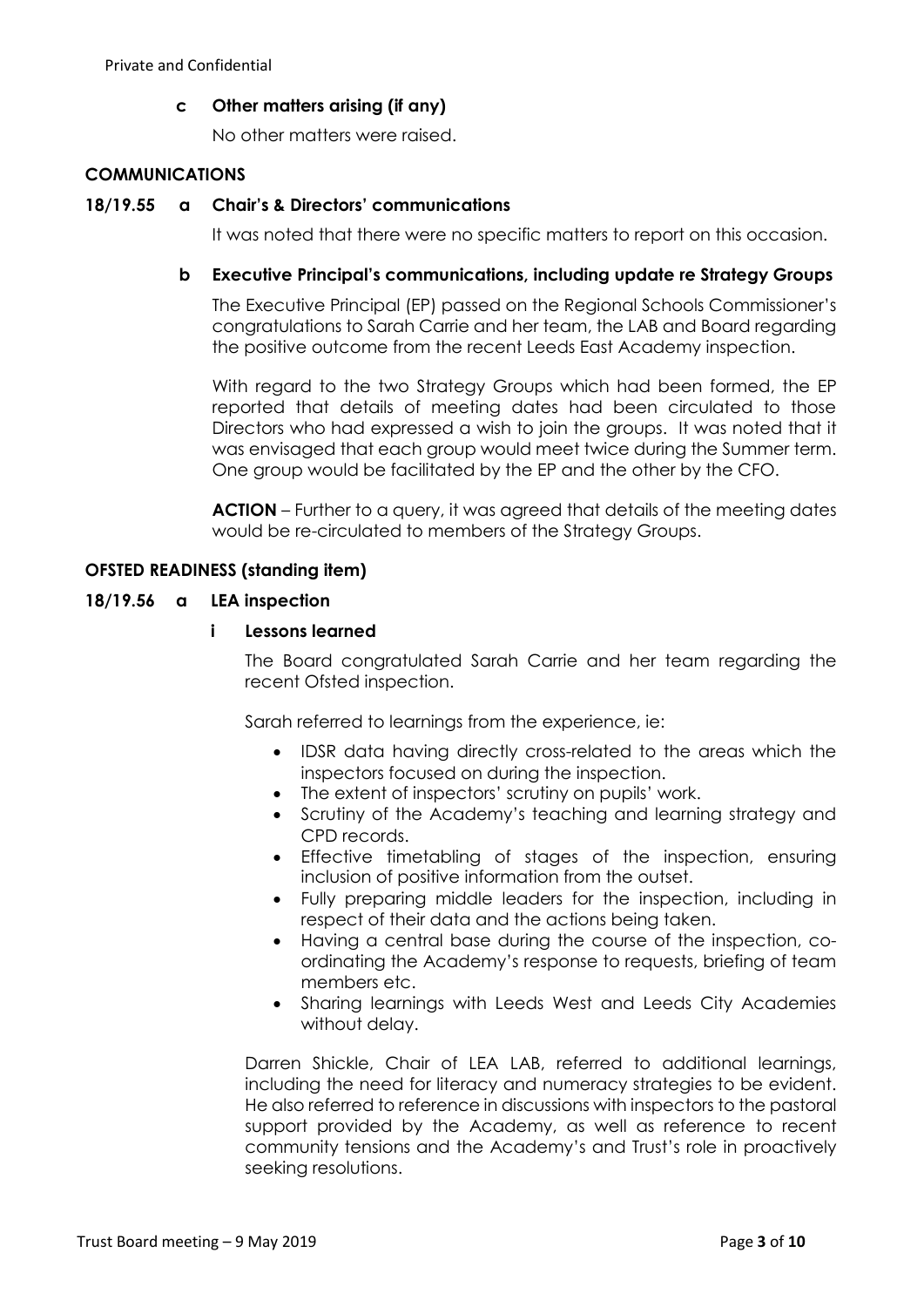# **c Other matters arising (if any)**

No other matters were raised.

# **COMMUNICATIONS**

## **18/19.55 a Chair's & Directors' communications**

It was noted that there were no specific matters to report on this occasion.

## **b Executive Principal's communications, including update re Strategy Groups**

The Executive Principal (EP) passed on the Regional Schools Commissioner's congratulations to Sarah Carrie and her team, the LAB and Board regarding the positive outcome from the recent Leeds East Academy inspection.

With regard to the two Strategy Groups which had been formed, the EP reported that details of meeting dates had been circulated to those Directors who had expressed a wish to join the groups. It was noted that it was envisaged that each group would meet twice during the Summer term. One group would be facilitated by the EP and the other by the CFO.

**ACTION** – Further to a query, it was agreed that details of the meeting dates would be re-circulated to members of the Strategy Groups.

## **OFSTED READINESS (standing item)**

#### **18/19.56 a LEA inspection**

## **i Lessons learned**

The Board congratulated Sarah Carrie and her team regarding the recent Ofsted inspection.

Sarah referred to learnings from the experience, ie:

- IDSR data having directly cross-related to the areas which the inspectors focused on during the inspection.
- The extent of inspectors' scrutiny on pupils' work.
- Scrutiny of the Academy's teaching and learning strategy and CPD records.
- Effective timetabling of stages of the inspection, ensuring inclusion of positive information from the outset.
- Fully preparing middle leaders for the inspection, including in respect of their data and the actions being taken.
- Having a central base during the course of the inspection, coordinating the Academy's response to requests, briefing of team members etc.
- Sharing learnings with Leeds West and Leeds City Academies without delay.

Darren Shickle, Chair of LEA LAB, referred to additional learnings, including the need for literacy and numeracy strategies to be evident. He also referred to reference in discussions with inspectors to the pastoral support provided by the Academy, as well as reference to recent community tensions and the Academy's and Trust's role in proactively seeking resolutions.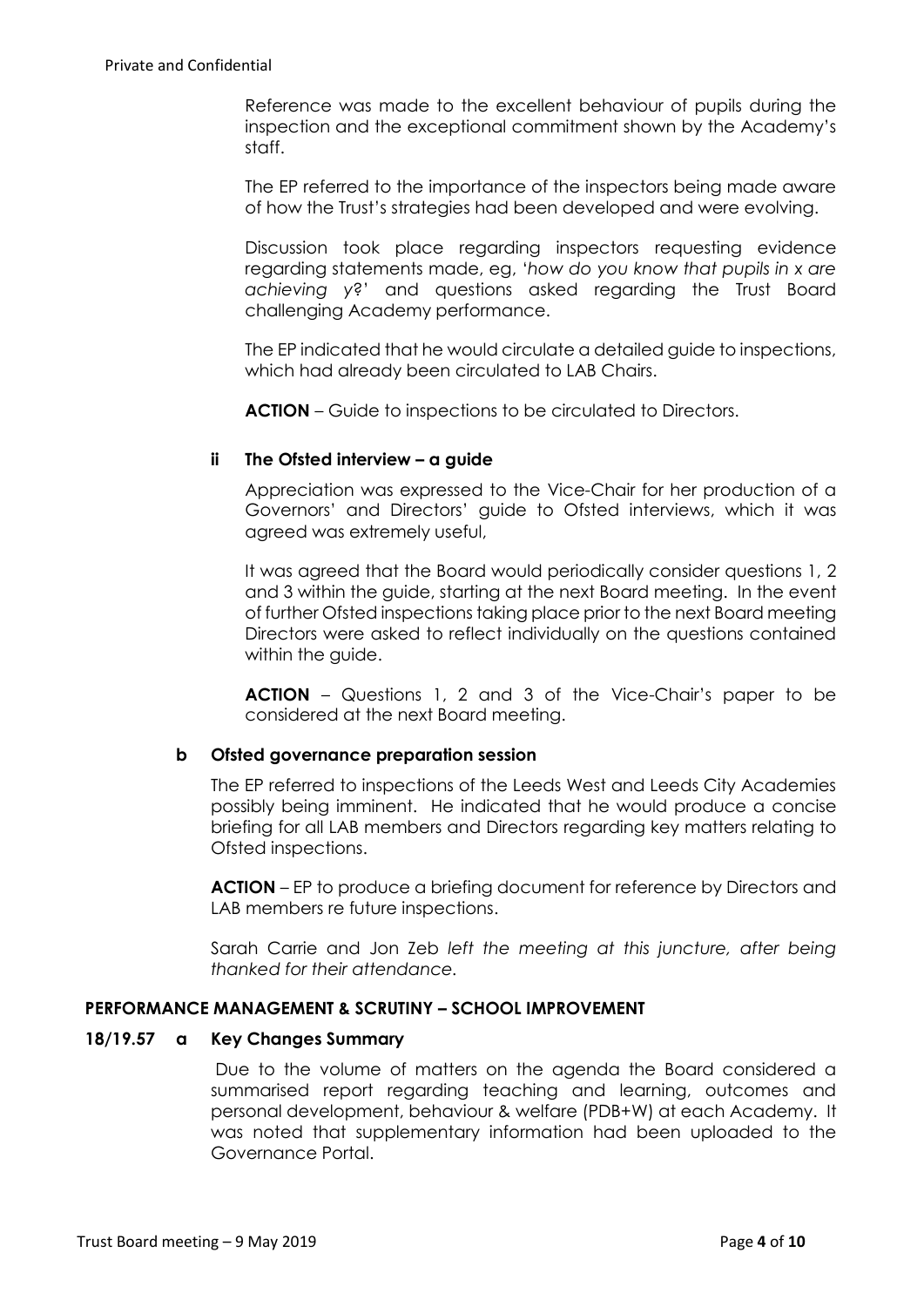Reference was made to the excellent behaviour of pupils during the inspection and the exceptional commitment shown by the Academy's staff.

The EP referred to the importance of the inspectors being made aware of how the Trust's strategies had been developed and were evolving.

Discussion took place regarding inspectors requesting evidence regarding statements made, eg, '*how do you know that pupils in x are achieving y*?' and questions asked regarding the Trust Board challenging Academy performance.

The EP indicated that he would circulate a detailed guide to inspections, which had already been circulated to LAB Chairs.

**ACTION** – Guide to inspections to be circulated to Directors.

# **ii The Ofsted interview – a guide**

Appreciation was expressed to the Vice-Chair for her production of a Governors' and Directors' guide to Ofsted interviews, which it was agreed was extremely useful,

It was agreed that the Board would periodically consider questions 1, 2 and 3 within the guide, starting at the next Board meeting. In the event of further Ofsted inspections taking place prior to the next Board meeting Directors were asked to reflect individually on the questions contained within the guide.

**ACTION** – Questions 1, 2 and 3 of the Vice-Chair's paper to be considered at the next Board meeting.

## **b Ofsted governance preparation session**

The EP referred to inspections of the Leeds West and Leeds City Academies possibly being imminent. He indicated that he would produce a concise briefing for all LAB members and Directors regarding key matters relating to Ofsted inspections.

**ACTION** – EP to produce a briefing document for reference by Directors and LAB members re future inspections.

Sarah Carrie and Jon Zeb *left the meeting at this juncture, after being thanked for their attendance.*

## **PERFORMANCE MANAGEMENT & SCRUTINY – SCHOOL IMPROVEMENT**

## **18/19.57 a Key Changes Summary**

Due to the volume of matters on the agenda the Board considered a summarised report regarding teaching and learning, outcomes and personal development, behaviour & welfare (PDB+W) at each Academy. It was noted that supplementary information had been uploaded to the Governance Portal.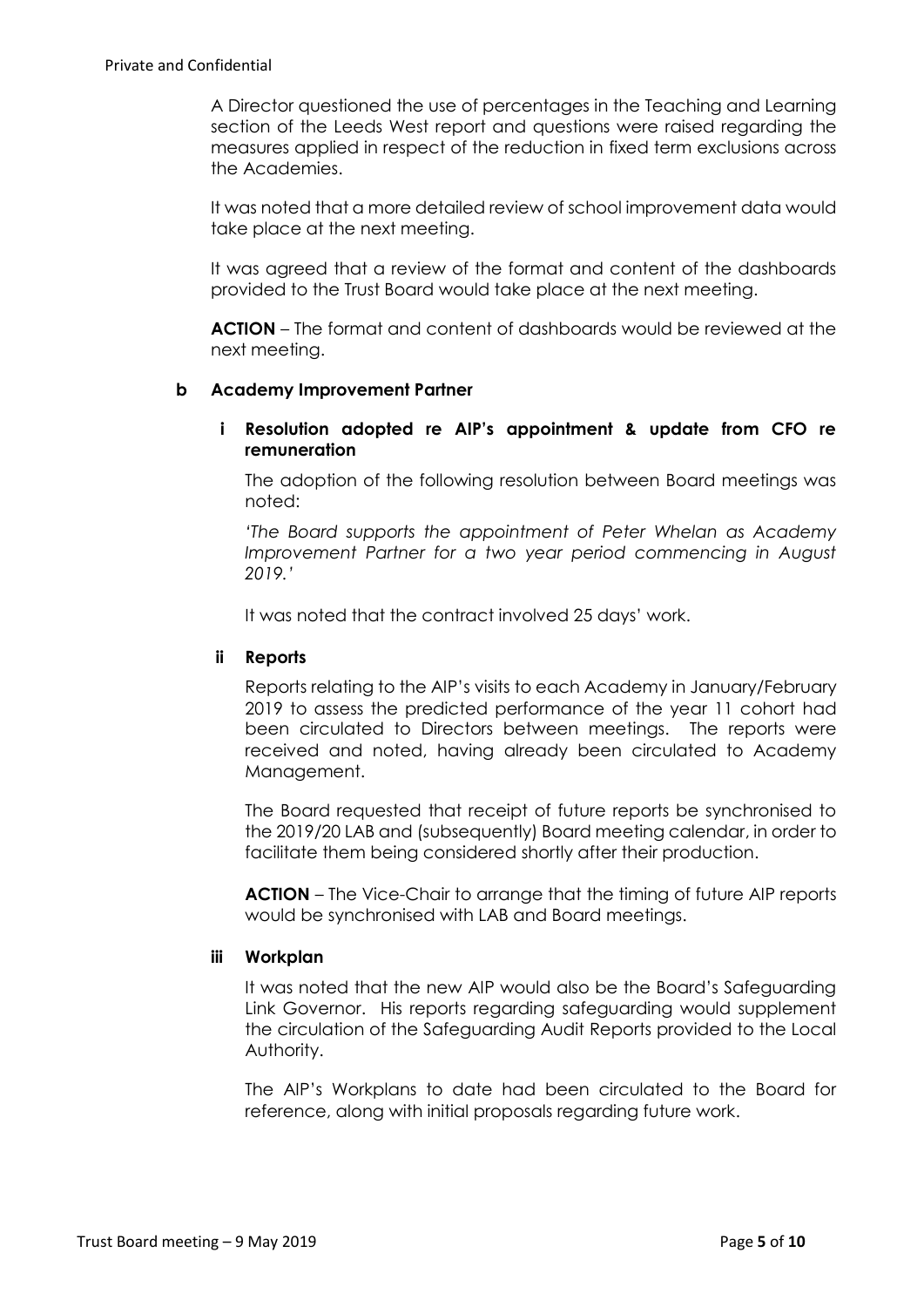A Director questioned the use of percentages in the Teaching and Learning section of the Leeds West report and questions were raised regarding the measures applied in respect of the reduction in fixed term exclusions across the Academies.

It was noted that a more detailed review of school improvement data would take place at the next meeting.

It was agreed that a review of the format and content of the dashboards provided to the Trust Board would take place at the next meeting.

**ACTION** – The format and content of dashboards would be reviewed at the next meeting.

## **b Academy Improvement Partner**

# **i Resolution adopted re AIP's appointment & update from CFO re remuneration**

The adoption of the following resolution between Board meetings was noted:

*'The Board supports the appointment of Peter Whelan as Academy Improvement Partner for a two year period commencing in August 2019.'*

It was noted that the contract involved 25 days' work.

# **ii Reports**

Reports relating to the AIP's visits to each Academy in January/February 2019 to assess the predicted performance of the year 11 cohort had been circulated to Directors between meetings. The reports were received and noted, having already been circulated to Academy Management.

The Board requested that receipt of future reports be synchronised to the 2019/20 LAB and (subsequently) Board meeting calendar, in order to facilitate them being considered shortly after their production.

**ACTION** – The Vice-Chair to arrange that the timing of future AIP reports would be synchronised with LAB and Board meetings.

## **iii Workplan**

It was noted that the new AIP would also be the Board's Safeguarding Link Governor. His reports regarding safeguarding would supplement the circulation of the Safeguarding Audit Reports provided to the Local Authority.

The AIP's Workplans to date had been circulated to the Board for reference, along with initial proposals regarding future work.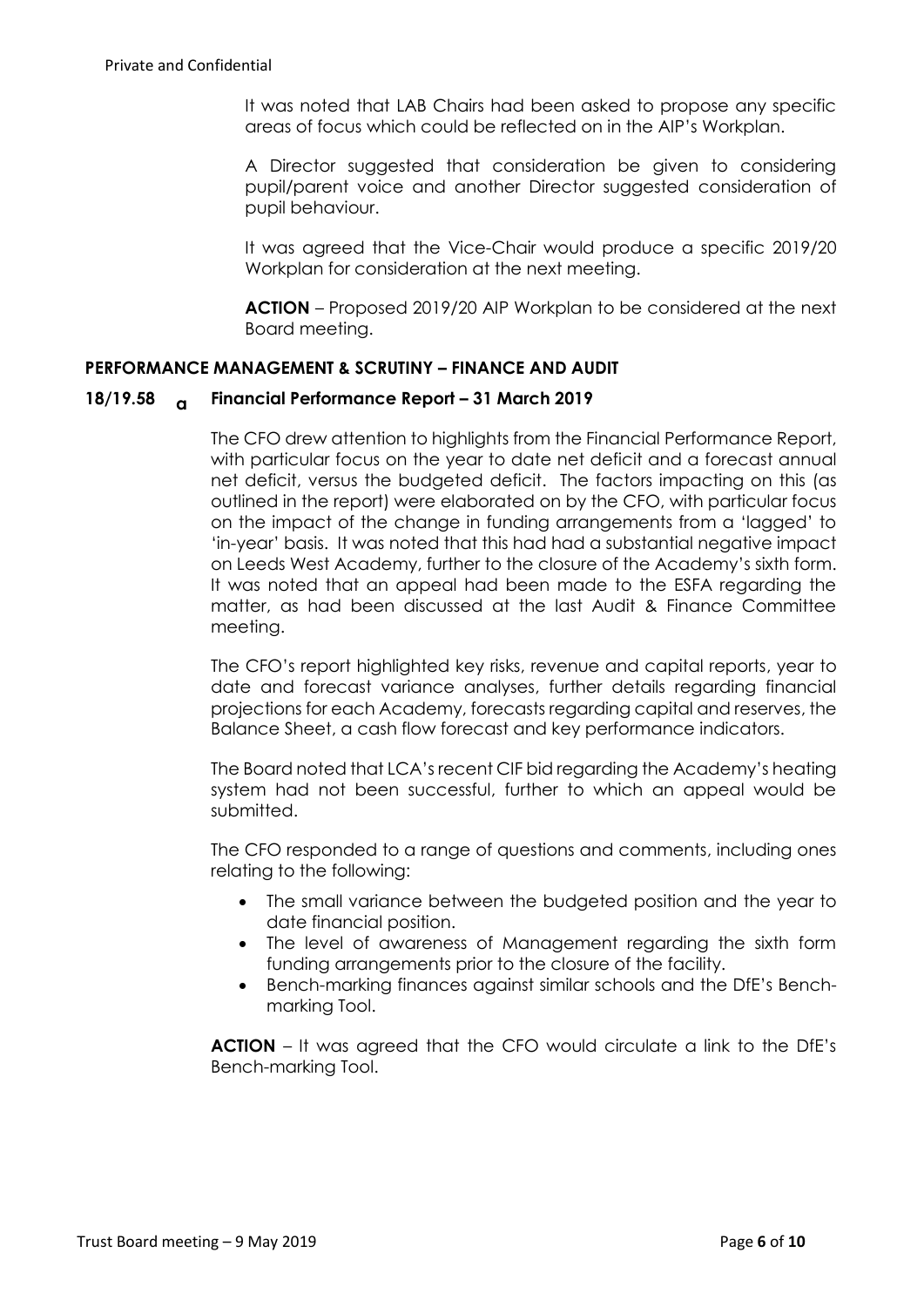It was noted that LAB Chairs had been asked to propose any specific areas of focus which could be reflected on in the AIP's Workplan.

A Director suggested that consideration be given to considering pupil/parent voice and another Director suggested consideration of pupil behaviour.

It was agreed that the Vice-Chair would produce a specific 2019/20 Workplan for consideration at the next meeting.

**ACTION** – Proposed 2019/20 AIP Workplan to be considered at the next Board meeting.

# **PERFORMANCE MANAGEMENT & SCRUTINY – FINANCE AND AUDIT**

## **18/19.58 a Financial Performance Report – 31 March 2019**

The CFO drew attention to highlights from the Financial Performance Report, with particular focus on the year to date net deficit and a forecast annual net deficit, versus the budgeted deficit. The factors impacting on this (as outlined in the report) were elaborated on by the CFO, with particular focus on the impact of the change in funding arrangements from a 'lagged' to 'in-year' basis. It was noted that this had had a substantial negative impact on Leeds West Academy, further to the closure of the Academy's sixth form. It was noted that an appeal had been made to the ESFA regarding the matter, as had been discussed at the last Audit & Finance Committee meeting.

The CFO's report highlighted key risks, revenue and capital reports, year to date and forecast variance analyses, further details regarding financial projections for each Academy, forecasts regarding capital and reserves, the Balance Sheet, a cash flow forecast and key performance indicators.

The Board noted that LCA's recent CIF bid regarding the Academy's heating system had not been successful, further to which an appeal would be submitted.

The CFO responded to a range of questions and comments, including ones relating to the following:

- The small variance between the budgeted position and the year to date financial position.
- The level of awareness of Management regarding the sixth form funding arrangements prior to the closure of the facility.
- Bench-marking finances against similar schools and the DfE's Benchmarking Tool.

**ACTION** – It was agreed that the CFO would circulate a link to the DfE's Bench-marking Tool.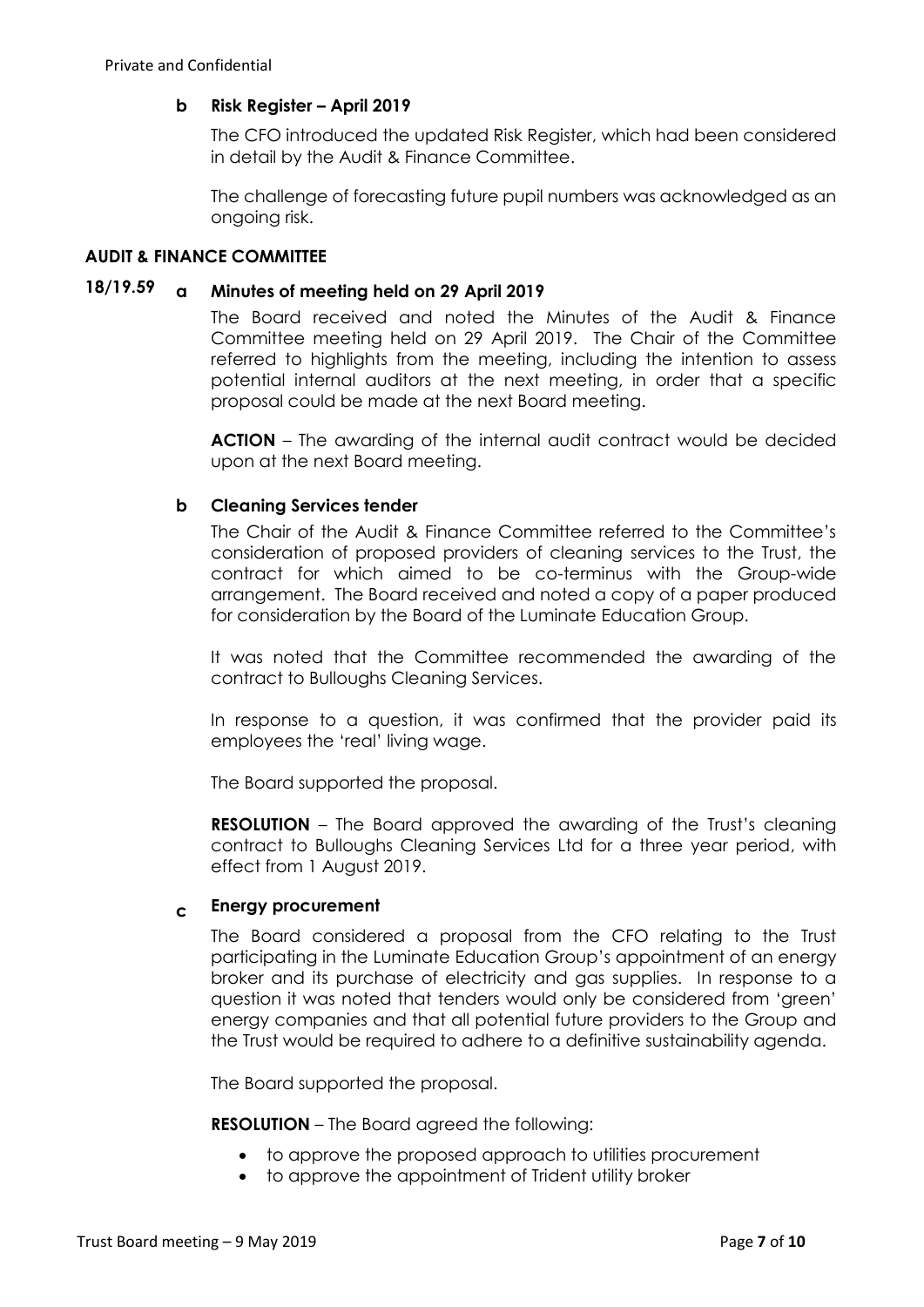# **b Risk Register – April 2019**

The CFO introduced the updated Risk Register, which had been considered in detail by the Audit & Finance Committee.

The challenge of forecasting future pupil numbers was acknowledged as an ongoing risk.

## **AUDIT & FINANCE COMMITTEE**

# **18/19.59 a Minutes of meeting held on 29 April 2019**

The Board received and noted the Minutes of the Audit & Finance Committee meeting held on 29 April 2019. The Chair of the Committee referred to highlights from the meeting, including the intention to assess potential internal auditors at the next meeting, in order that a specific proposal could be made at the next Board meeting.

**ACTION** – The awarding of the internal audit contract would be decided upon at the next Board meeting.

## **b Cleaning Services tender**

The Chair of the Audit & Finance Committee referred to the Committee's consideration of proposed providers of cleaning services to the Trust, the contract for which aimed to be co-terminus with the Group-wide arrangement. The Board received and noted a copy of a paper produced for consideration by the Board of the Luminate Education Group.

It was noted that the Committee recommended the awarding of the contract to Bulloughs Cleaning Services.

In response to a question, it was confirmed that the provider paid its employees the 'real' living wage.

The Board supported the proposal.

**RESOLUTION** – The Board approved the awarding of the Trust's cleaning contract to Bulloughs Cleaning Services Ltd for a three year period, with effect from 1 August 2019.

## **c Energy procurement**

The Board considered a proposal from the CFO relating to the Trust participating in the Luminate Education Group's appointment of an energy broker and its purchase of electricity and gas supplies. In response to a question it was noted that tenders would only be considered from 'green' energy companies and that all potential future providers to the Group and the Trust would be required to adhere to a definitive sustainability agenda.

The Board supported the proposal.

**RESOLUTION** – The Board agreed the following:

- to approve the proposed approach to utilities procurement
- to approve the appointment of Trident utility broker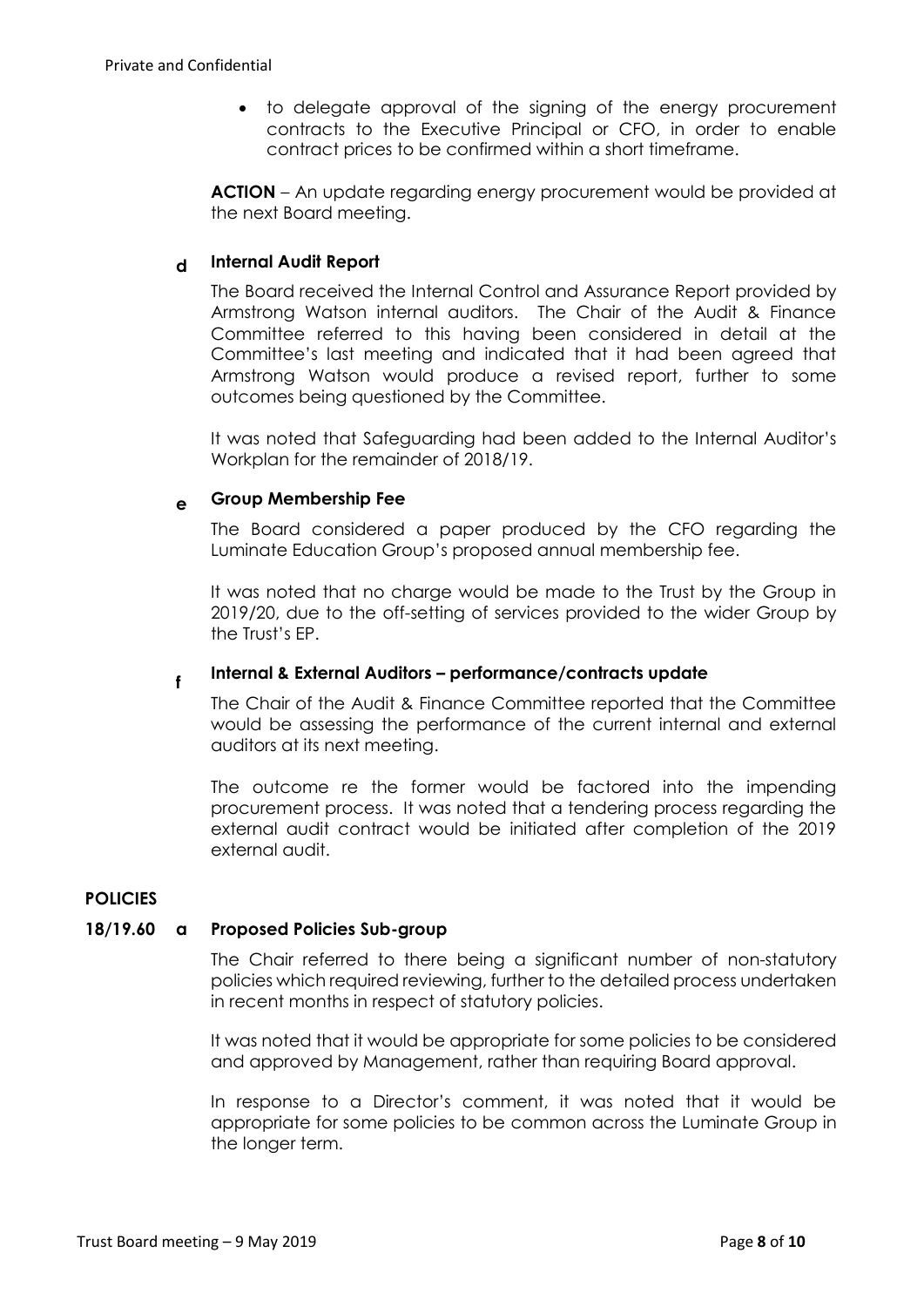to delegate approval of the signing of the energy procurement contracts to the Executive Principal or CFO, in order to enable contract prices to be confirmed within a short timeframe.

**ACTION** – An update regarding energy procurement would be provided at the next Board meeting.

# **d Internal Audit Report**

The Board received the Internal Control and Assurance Report provided by Armstrong Watson internal auditors. The Chair of the Audit & Finance Committee referred to this having been considered in detail at the Committee's last meeting and indicated that it had been agreed that Armstrong Watson would produce a revised report, further to some outcomes being questioned by the Committee.

It was noted that Safeguarding had been added to the Internal Auditor's Workplan for the remainder of 2018/19.

# **e Group Membership Fee**

The Board considered a paper produced by the CFO regarding the Luminate Education Group's proposed annual membership fee.

It was noted that no charge would be made to the Trust by the Group in 2019/20, due to the off-setting of services provided to the wider Group by the Trust's EP.

#### **f Internal & External Auditors – performance/contracts update**

The Chair of the Audit & Finance Committee reported that the Committee would be assessing the performance of the current internal and external auditors at its next meeting.

The outcome re the former would be factored into the impending procurement process. It was noted that a tendering process regarding the external audit contract would be initiated after completion of the 2019 external audit.

# **POLICIES**

## **18/19.60 a Proposed Policies Sub-group**

The Chair referred to there being a significant number of non-statutory policies which required reviewing, further to the detailed process undertaken in recent months in respect of statutory policies.

It was noted that it would be appropriate for some policies to be considered and approved by Management, rather than requiring Board approval.

In response to a Director's comment, it was noted that it would be appropriate for some policies to be common across the Luminate Group in the longer term.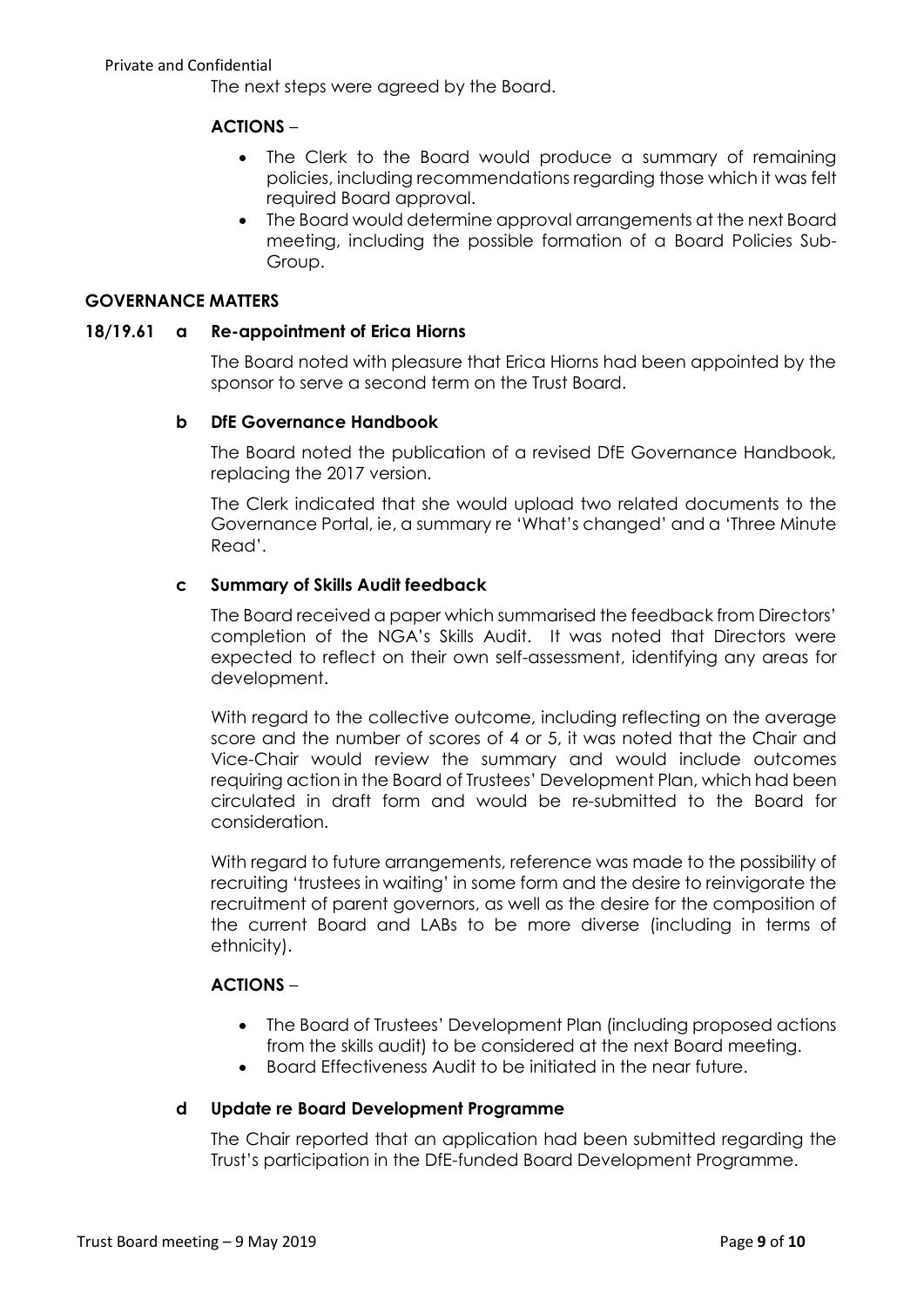The next steps were agreed by the Board.

# **ACTIONS** –

- The Clerk to the Board would produce a summary of remaining policies, including recommendations regarding those which it was felt required Board approval.
- The Board would determine approval arrangements at the next Board meeting, including the possible formation of a Board Policies Sub-Group.

## **GOVERNANCE MATTERS**

## **18/19.61 a Re-appointment of Erica Hiorns**

The Board noted with pleasure that Erica Hiorns had been appointed by the sponsor to serve a second term on the Trust Board.

## **b DfE Governance Handbook**

The Board noted the publication of a revised DfE Governance Handbook, replacing the 2017 version.

The Clerk indicated that she would upload two related documents to the Governance Portal, ie, a summary re 'What's changed' and a 'Three Minute Read'.

## **c Summary of Skills Audit feedback**

The Board received a paper which summarised the feedback from Directors' completion of the NGA's Skills Audit. It was noted that Directors were expected to reflect on their own self-assessment, identifying any areas for development.

With regard to the collective outcome, including reflecting on the average score and the number of scores of 4 or 5, it was noted that the Chair and Vice-Chair would review the summary and would include outcomes requiring action in the Board of Trustees' Development Plan, which had been circulated in draft form and would be re-submitted to the Board for consideration.

With regard to future arrangements, reference was made to the possibility of recruiting 'trustees in waiting' in some form and the desire to reinvigorate the recruitment of parent governors, as well as the desire for the composition of the current Board and LABs to be more diverse (including in terms of ethnicity).

## **ACTIONS** –

- The Board of Trustees' Development Plan (including proposed actions from the skills audit) to be considered at the next Board meeting.
- Board Effectiveness Audit to be initiated in the near future.

#### **d Update re Board Development Programme**

The Chair reported that an application had been submitted regarding the Trust's participation in the DfE-funded Board Development Programme.